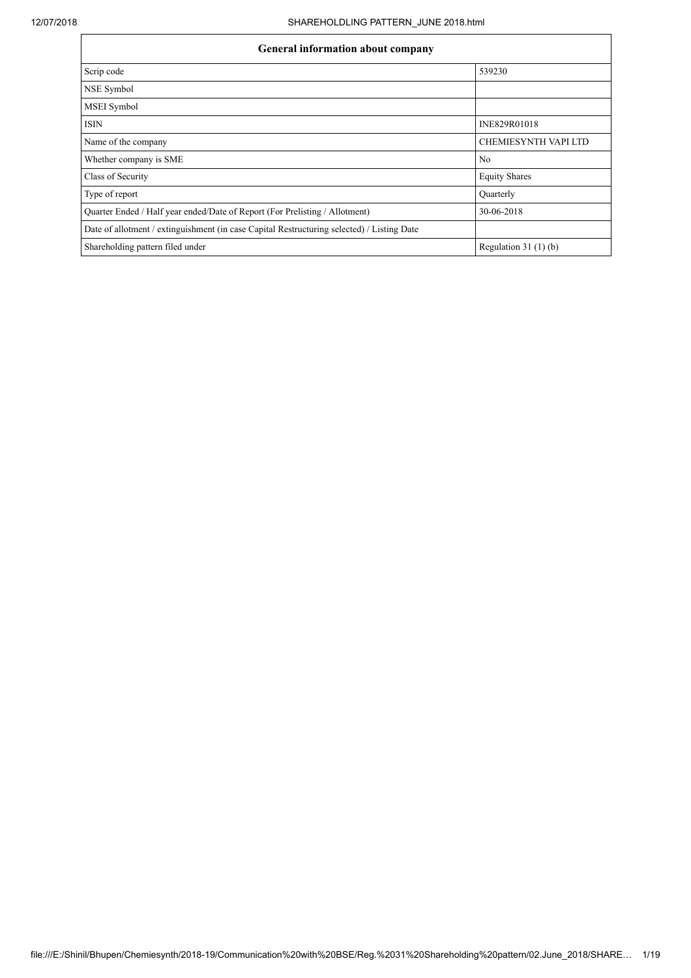| <b>General information about company</b>                                                   |                       |  |  |  |  |  |  |  |
|--------------------------------------------------------------------------------------------|-----------------------|--|--|--|--|--|--|--|
| Scrip code                                                                                 | 539230                |  |  |  |  |  |  |  |
| NSE Symbol                                                                                 |                       |  |  |  |  |  |  |  |
| <b>MSEI</b> Symbol                                                                         |                       |  |  |  |  |  |  |  |
| ISIN                                                                                       | INE829R01018          |  |  |  |  |  |  |  |
| Name of the company                                                                        | CHEMIESYNTH VAPI LTD  |  |  |  |  |  |  |  |
| Whether company is SME                                                                     | N <sub>0</sub>        |  |  |  |  |  |  |  |
| Class of Security                                                                          | <b>Equity Shares</b>  |  |  |  |  |  |  |  |
| Type of report                                                                             | Quarterly             |  |  |  |  |  |  |  |
| Quarter Ended / Half year ended/Date of Report (For Prelisting / Allotment)                | 30-06-2018            |  |  |  |  |  |  |  |
| Date of allotment / extinguishment (in case Capital Restructuring selected) / Listing Date |                       |  |  |  |  |  |  |  |
| Shareholding pattern filed under                                                           | Regulation $31(1)(b)$ |  |  |  |  |  |  |  |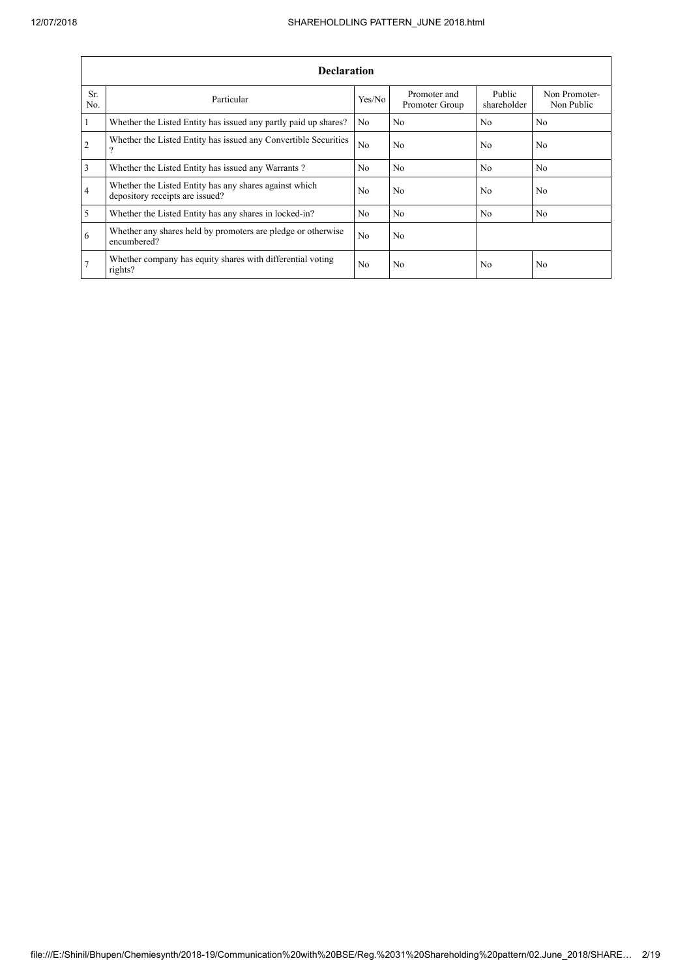|                | <b>Declaration</b>                                                                        |                |                                |                       |                             |
|----------------|-------------------------------------------------------------------------------------------|----------------|--------------------------------|-----------------------|-----------------------------|
| Sr.<br>No.     | Particular                                                                                | Yes/No         | Promoter and<br>Promoter Group | Public<br>shareholder | Non Promoter-<br>Non Public |
| 1              | Whether the Listed Entity has issued any partly paid up shares?                           | N <sub>0</sub> | N <sub>o</sub>                 | N <sub>0</sub>        | N <sub>0</sub>              |
| $\overline{2}$ | Whether the Listed Entity has issued any Convertible Securities<br>ີ                      | No             | N <sub>0</sub>                 | N <sub>0</sub>        | No                          |
| 3              | Whether the Listed Entity has issued any Warrants?                                        | N <sub>0</sub> | N <sub>o</sub>                 | N <sub>0</sub>        | N <sub>0</sub>              |
| $\overline{4}$ | Whether the Listed Entity has any shares against which<br>depository receipts are issued? | N <sub>o</sub> | N <sub>0</sub>                 | N <sub>0</sub>        | No                          |
| 5              | Whether the Listed Entity has any shares in locked-in?                                    | N <sub>0</sub> | N <sub>o</sub>                 | N <sub>0</sub>        | No                          |
| 6              | Whether any shares held by promoters are pledge or otherwise<br>encumbered?               | No             | N <sub>o</sub>                 |                       |                             |
| 7              | Whether company has equity shares with differential voting<br>rights?                     | N <sub>0</sub> | N <sub>0</sub>                 | N <sub>0</sub>        | No                          |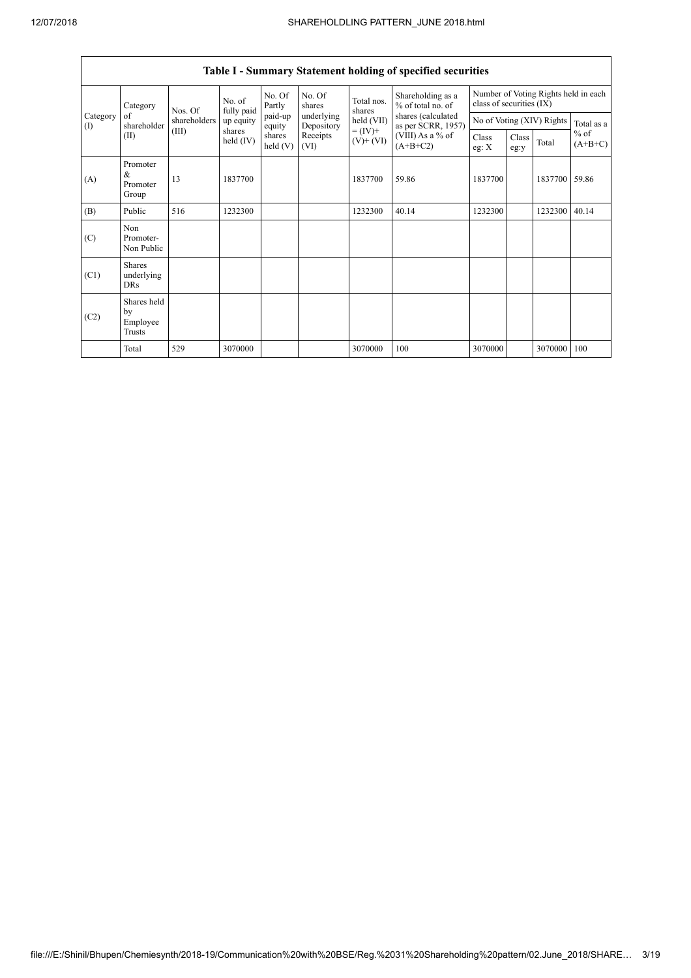|                                                |                                           |              |                       |                   |                          |                          | Table I - Summary Statement holding of specified securities |                  |                                                                  |                           |                     |  |
|------------------------------------------------|-------------------------------------------|--------------|-----------------------|-------------------|--------------------------|--------------------------|-------------------------------------------------------------|------------------|------------------------------------------------------------------|---------------------------|---------------------|--|
| Category<br>Category<br>of<br>$\rm(D)$<br>(II) |                                           | Nos. Of      | No. of<br>fully paid  | No. Of<br>Partly  | No. Of<br>shares         | Total nos.<br>shares     | Shareholding as a<br>% of total no. of                      |                  | Number of Voting Rights held in each<br>class of securities (IX) |                           |                     |  |
|                                                | shareholder                               | shareholders | up equity             | paid-up<br>equity | underlying<br>Depository | held (VII)               | shares (calculated<br>as per SCRR, 1957)                    |                  |                                                                  | No of Voting (XIV) Rights | Total as a          |  |
|                                                |                                           | (III)        | shares<br>held $(IV)$ | shares<br>held(V) | Receipts<br>(VI)         | $= (IV) +$<br>$(V)+(VI)$ | (VIII) As a % of<br>$(A+B+C2)$                              | Class<br>eg: $X$ | Class<br>eg:y                                                    | Total                     | $%$ of<br>$(A+B+C)$ |  |
| (A)                                            | Promoter<br>&<br>Promoter<br>Group        | 13           | 1837700               |                   |                          | 1837700                  | 59.86                                                       | 1837700          |                                                                  | 1837700                   | 59.86               |  |
| (B)                                            | Public                                    | 516          | 1232300               |                   |                          | 1232300                  | 40.14                                                       | 1232300          |                                                                  | 1232300                   | 40.14               |  |
| (C)                                            | Non<br>Promoter-<br>Non Public            |              |                       |                   |                          |                          |                                                             |                  |                                                                  |                           |                     |  |
| (C1)                                           | <b>Shares</b><br>underlying<br><b>DRs</b> |              |                       |                   |                          |                          |                                                             |                  |                                                                  |                           |                     |  |
| (C2)                                           | Shares held<br>by<br>Employee<br>Trusts   |              |                       |                   |                          |                          |                                                             |                  |                                                                  |                           |                     |  |
|                                                | Total                                     | 529          | 3070000               |                   |                          | 3070000                  | 100                                                         | 3070000          |                                                                  | 3070000                   | 100                 |  |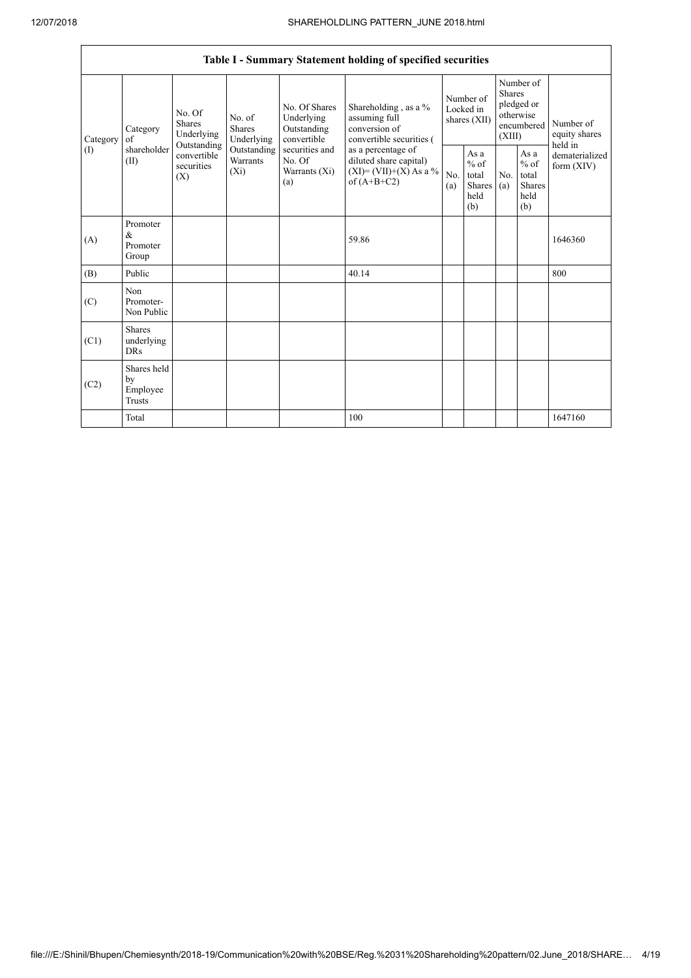|                          |                                                                                                      |             |                                           |                                                           | Table I - Summary Statement holding of specified securities                                                                                                                          |                                        |                                                  |                                                                               |                                                          |                                       |
|--------------------------|------------------------------------------------------------------------------------------------------|-------------|-------------------------------------------|-----------------------------------------------------------|--------------------------------------------------------------------------------------------------------------------------------------------------------------------------------------|----------------------------------------|--------------------------------------------------|-------------------------------------------------------------------------------|----------------------------------------------------------|---------------------------------------|
| Category<br>$($ $\Gamma$ | No. Of<br><b>Shares</b><br>Category<br>of<br>Outstanding<br>shareholder<br>(II)<br>securities<br>(X) | Underlying  | No. of<br><b>Shares</b><br>Underlying     | No. Of Shares<br>Underlying<br>Outstanding<br>convertible | Shareholding , as a $\%$<br>assuming full<br>conversion of<br>convertible securities (<br>as a percentage of<br>diluted share capital)<br>$(XI) = (VII)+(X) As a %$<br>of $(A+B+C2)$ | Number of<br>Locked in<br>shares (XII) |                                                  | Number of<br><b>Shares</b><br>pledged or<br>otherwise<br>encumbered<br>(XIII) |                                                          | Number of<br>equity shares<br>held in |
|                          |                                                                                                      | convertible | Outstanding<br><b>Warrants</b><br>$(X_i)$ | securities and<br>No. Of<br>Warrants (Xi)<br>(a)          |                                                                                                                                                                                      | No.<br>(a)                             | As a<br>$%$ of<br>total<br>Shares<br>held<br>(b) | No.<br>(a)                                                                    | As a<br>$\%$ of<br>total<br><b>Shares</b><br>held<br>(b) | dematerialized<br>form $(XIV)$        |
| (A)                      | Promoter<br>$\&$<br>Promoter<br>Group                                                                |             |                                           |                                                           | 59.86                                                                                                                                                                                |                                        |                                                  |                                                                               |                                                          | 1646360                               |
| (B)                      | Public                                                                                               |             |                                           |                                                           | 40.14                                                                                                                                                                                |                                        |                                                  |                                                                               |                                                          | 800                                   |
| (C)                      | Non<br>Promoter-<br>Non Public                                                                       |             |                                           |                                                           |                                                                                                                                                                                      |                                        |                                                  |                                                                               |                                                          |                                       |
| (C1)                     | <b>Shares</b><br>underlying<br><b>DRs</b>                                                            |             |                                           |                                                           |                                                                                                                                                                                      |                                        |                                                  |                                                                               |                                                          |                                       |
| (C2)                     | Shares held<br>by<br>Employee<br>Trusts                                                              |             |                                           |                                                           |                                                                                                                                                                                      |                                        |                                                  |                                                                               |                                                          |                                       |
|                          | Total                                                                                                |             |                                           |                                                           | 100                                                                                                                                                                                  |                                        |                                                  |                                                                               |                                                          | 1647160                               |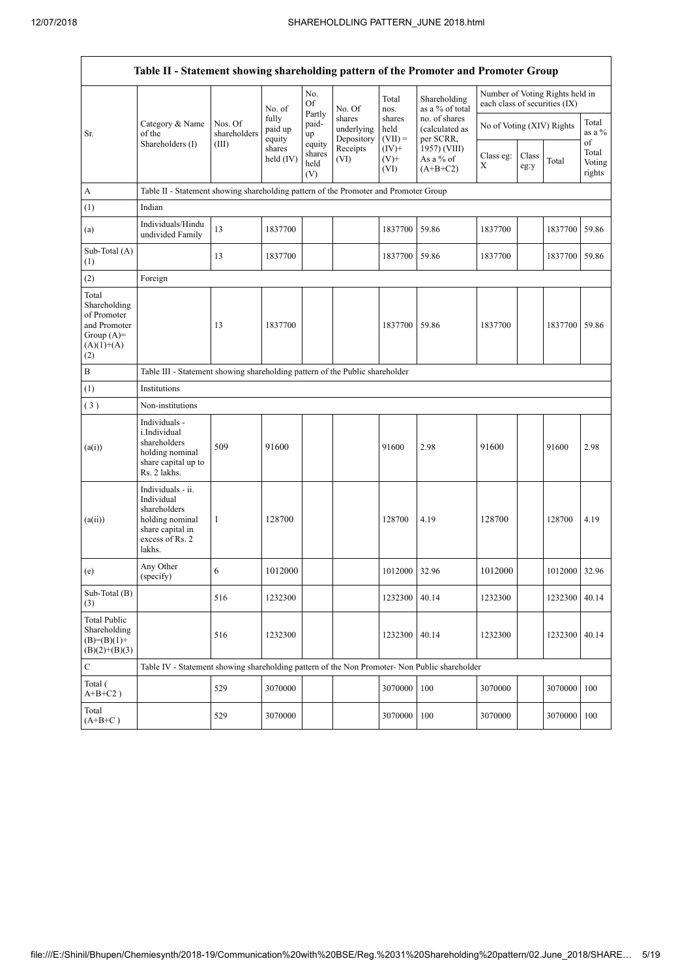|                                                                                             | Table II - Statement showing shareholding pattern of the Promoter and Promoter Group                                |                                                                              |                            |                                 |                                    |                             |                                                                                         |                               |               |                                 |                                 |  |
|---------------------------------------------------------------------------------------------|---------------------------------------------------------------------------------------------------------------------|------------------------------------------------------------------------------|----------------------------|---------------------------------|------------------------------------|-----------------------------|-----------------------------------------------------------------------------------------|-------------------------------|---------------|---------------------------------|---------------------------------|--|
|                                                                                             |                                                                                                                     |                                                                              | No. of                     | No.<br>Of                       | No. Of                             | Total<br>nos.               | Shareholding<br>as a % of total                                                         | each class of securities (IX) |               | Number of Voting Rights held in |                                 |  |
| Sr.                                                                                         | Category & Name<br>of the                                                                                           | Nos. Of<br>shareholders                                                      | fully<br>paid up<br>equity | Partly<br>paid-<br>up           | shares<br>underlying<br>Depository | shares<br>held<br>$(VII) =$ | no. of shares<br>(calculated as<br>per SCRR,<br>1957) (VIII)<br>As a % of<br>$(A+B+C2)$ | No of Voting (XIV) Rights     |               |                                 | Total<br>as a $%$               |  |
|                                                                                             | Shareholders (I)                                                                                                    | (III)                                                                        | shares<br>held (IV)        | equity<br>shares<br>held<br>(V) | Receipts<br>(VI)                   | $(IV)+$<br>$(V)$ +<br>(VI)  |                                                                                         | Class eg:<br>X                | Class<br>eg:y | Total                           | of<br>Total<br>Voting<br>rights |  |
| А                                                                                           | Table II - Statement showing shareholding pattern of the Promoter and Promoter Group                                |                                                                              |                            |                                 |                                    |                             |                                                                                         |                               |               |                                 |                                 |  |
| (1)                                                                                         | Indian                                                                                                              |                                                                              |                            |                                 |                                    |                             |                                                                                         |                               |               |                                 |                                 |  |
| (a)                                                                                         | Individuals/Hindu<br>undivided Family                                                                               | 13                                                                           | 1837700                    |                                 |                                    | 1837700                     | 59.86                                                                                   | 1837700                       |               | 1837700                         | 59.86                           |  |
| Sub-Total (A)<br>(1)                                                                        |                                                                                                                     | 13                                                                           | 1837700                    |                                 |                                    | 1837700                     | 59.86                                                                                   | 1837700                       |               | 1837700                         | 59.86                           |  |
| (2)                                                                                         | Foreign                                                                                                             |                                                                              |                            |                                 |                                    |                             |                                                                                         |                               |               |                                 |                                 |  |
| Total<br>Shareholding<br>of Promoter<br>and Promoter<br>Group $(A)=$<br>$(A)(1)+(A)$<br>(2) |                                                                                                                     | 13                                                                           | 1837700                    |                                 |                                    | 1837700                     | 59.86                                                                                   | 1837700                       |               | 1837700 59.86                   |                                 |  |
| B                                                                                           |                                                                                                                     | Table III - Statement showing shareholding pattern of the Public shareholder |                            |                                 |                                    |                             |                                                                                         |                               |               |                                 |                                 |  |
| (1)                                                                                         | Institutions                                                                                                        |                                                                              |                            |                                 |                                    |                             |                                                                                         |                               |               |                                 |                                 |  |
| (3)                                                                                         | Non-institutions                                                                                                    |                                                                              |                            |                                 |                                    |                             |                                                                                         |                               |               |                                 |                                 |  |
| (a(i))                                                                                      | Individuals -<br>i.Individual<br>shareholders<br>holding nominal<br>share capital up to<br>Rs. 2 lakhs.             | 509                                                                          | 91600                      |                                 |                                    | 91600                       | 2.98                                                                                    | 91600                         |               | 91600                           | 2.98                            |  |
| (a(ii))                                                                                     | Individuals - ii.<br>Individual<br>shareholders<br>holding nominal<br>share capital in<br>excess of Rs. 2<br>lakhs. | 1                                                                            | 128700                     |                                 |                                    | 128700                      | 4.19                                                                                    | 128700                        |               | 128700                          | 4.19                            |  |
| (e)                                                                                         | Any Other<br>(specify)                                                                                              | 6                                                                            | 1012000                    |                                 |                                    | 1012000 32.96               |                                                                                         | 1012000                       |               | 1012000 32.96                   |                                 |  |
| Sub-Total (B)<br>(3)                                                                        |                                                                                                                     | 516                                                                          | 1232300                    |                                 |                                    | 1232300                     | 40.14                                                                                   | 1232300                       |               | 1232300                         | 40.14                           |  |
| <b>Total Public</b><br>Shareholding<br>$(B)=(B)(1)+$<br>$(B)(2)+(B)(3)$                     |                                                                                                                     | 516                                                                          | 1232300                    |                                 |                                    | 1232300                     | 40.14                                                                                   | 1232300                       |               | 1232300                         | 40.14                           |  |
| $\mathbf C$                                                                                 | Table IV - Statement showing shareholding pattern of the Non Promoter- Non Public shareholder                       |                                                                              |                            |                                 |                                    |                             |                                                                                         |                               |               |                                 |                                 |  |
| Total (<br>$A+B+C2$ )                                                                       |                                                                                                                     | 529                                                                          | 3070000                    |                                 |                                    | 3070000                     | 100                                                                                     | 3070000                       |               | 3070000                         | 100                             |  |
| Total<br>$(A+B+C)$                                                                          |                                                                                                                     | 529                                                                          | 3070000                    |                                 |                                    | 3070000                     | 100                                                                                     | 3070000                       |               | 3070000                         | 100                             |  |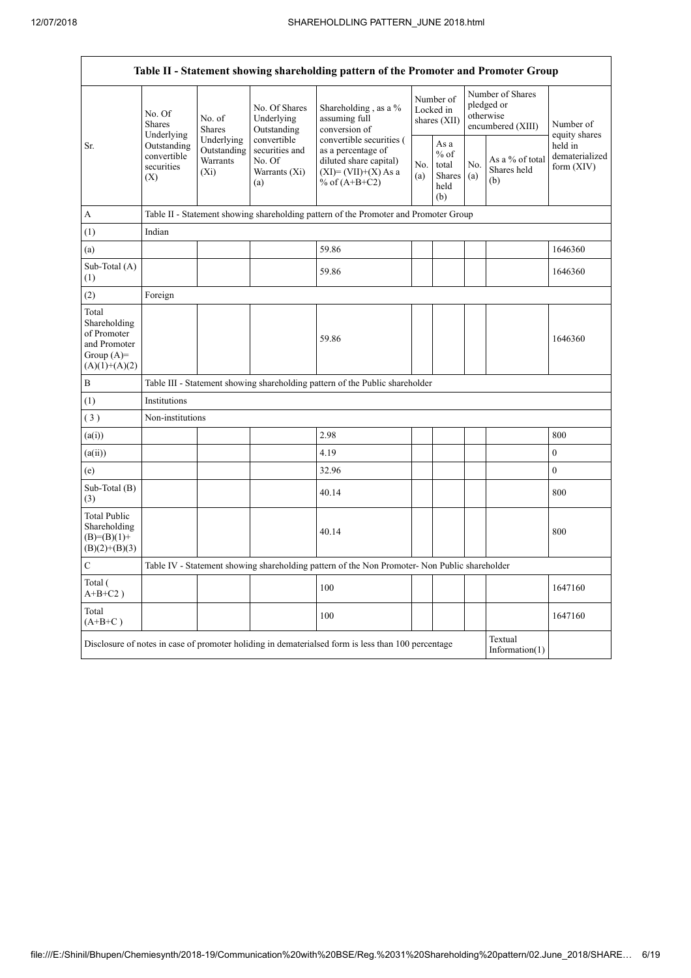|                                                                                         | Table II - Statement showing shareholding pattern of the Promoter and Promoter Group                                               |                                                                                      |                                                                 |                                                                                                                      |  |                                                        |     |                                                                  |                                         |  |  |
|-----------------------------------------------------------------------------------------|------------------------------------------------------------------------------------------------------------------------------------|--------------------------------------------------------------------------------------|-----------------------------------------------------------------|----------------------------------------------------------------------------------------------------------------------|--|--------------------------------------------------------|-----|------------------------------------------------------------------|-----------------------------------------|--|--|
|                                                                                         | No. Of<br><b>Shares</b><br>Underlying                                                                                              | No. of<br><b>Shares</b>                                                              | No. Of Shares<br>Underlying<br>Outstanding                      | Shareholding, as a %<br>assuming full<br>conversion of                                                               |  | Number of<br>Locked in<br>shares (XII)                 |     | Number of Shares<br>pledged or<br>otherwise<br>encumbered (XIII) | Number of<br>equity shares              |  |  |
| Sr.                                                                                     | Outstanding<br>convertible<br>securities<br>(X)                                                                                    | Underlying<br>Outstanding<br>Warrants<br>$(X_i)$                                     | convertible<br>securities and<br>No. Of<br>Warrants (Xi)<br>(a) | convertible securities (<br>as a percentage of<br>diluted share capital)<br>$(XI)=(VII)+(X) As a$<br>% of $(A+B+C2)$ |  | As a<br>$%$ of<br>total<br>Shares $(a)$<br>held<br>(b) | No. | As a % of total<br>Shares held<br>(b)                            | held in<br>dematerialized<br>form (XIV) |  |  |
| A                                                                                       |                                                                                                                                    | Table II - Statement showing shareholding pattern of the Promoter and Promoter Group |                                                                 |                                                                                                                      |  |                                                        |     |                                                                  |                                         |  |  |
| (1)                                                                                     | Indian                                                                                                                             |                                                                                      |                                                                 |                                                                                                                      |  |                                                        |     |                                                                  |                                         |  |  |
| (a)                                                                                     |                                                                                                                                    |                                                                                      |                                                                 | 59.86                                                                                                                |  |                                                        |     |                                                                  | 1646360                                 |  |  |
| Sub-Total (A)<br>(1)                                                                    |                                                                                                                                    |                                                                                      |                                                                 | 59.86                                                                                                                |  |                                                        |     |                                                                  | 1646360                                 |  |  |
| (2)                                                                                     | Foreign                                                                                                                            |                                                                                      |                                                                 |                                                                                                                      |  |                                                        |     |                                                                  |                                         |  |  |
| Total<br>Shareholding<br>of Promoter<br>and Promoter<br>Group $(A)=$<br>$(A)(1)+(A)(2)$ |                                                                                                                                    |                                                                                      |                                                                 | 59.86                                                                                                                |  |                                                        |     |                                                                  | 1646360                                 |  |  |
| $\, {\bf B}$                                                                            |                                                                                                                                    |                                                                                      |                                                                 | Table III - Statement showing shareholding pattern of the Public shareholder                                         |  |                                                        |     |                                                                  |                                         |  |  |
| (1)                                                                                     | Institutions                                                                                                                       |                                                                                      |                                                                 |                                                                                                                      |  |                                                        |     |                                                                  |                                         |  |  |
| (3)                                                                                     | Non-institutions                                                                                                                   |                                                                                      |                                                                 |                                                                                                                      |  |                                                        |     |                                                                  |                                         |  |  |
| (a(i))                                                                                  |                                                                                                                                    |                                                                                      |                                                                 | 2.98                                                                                                                 |  |                                                        |     |                                                                  | 800                                     |  |  |
| (a(ii))                                                                                 |                                                                                                                                    |                                                                                      |                                                                 | 4.19                                                                                                                 |  |                                                        |     |                                                                  | $\boldsymbol{0}$                        |  |  |
| (e)                                                                                     |                                                                                                                                    |                                                                                      |                                                                 | 32.96                                                                                                                |  |                                                        |     |                                                                  | $\boldsymbol{0}$                        |  |  |
| Sub-Total (B)<br>(3)                                                                    |                                                                                                                                    |                                                                                      |                                                                 | 40.14                                                                                                                |  |                                                        |     |                                                                  | 800                                     |  |  |
| <b>Total Public</b><br>Shareholding<br>$(B)= (B)(1) +$<br>$(B)(2)+(B)(3)$               |                                                                                                                                    |                                                                                      |                                                                 | 40.14                                                                                                                |  |                                                        |     |                                                                  | 800                                     |  |  |
| $\mathbf C$                                                                             |                                                                                                                                    |                                                                                      |                                                                 | Table IV - Statement showing shareholding pattern of the Non Promoter- Non Public shareholder                        |  |                                                        |     |                                                                  |                                         |  |  |
| Total (<br>$A+B+C2$ )                                                                   |                                                                                                                                    |                                                                                      |                                                                 | 100                                                                                                                  |  |                                                        |     |                                                                  | 1647160                                 |  |  |
| Total<br>$(A+B+C)$                                                                      |                                                                                                                                    |                                                                                      |                                                                 | 100                                                                                                                  |  |                                                        |     |                                                                  | 1647160                                 |  |  |
|                                                                                         | Textual<br>Disclosure of notes in case of promoter holiding in dematerialsed form is less than 100 percentage<br>Information $(1)$ |                                                                                      |                                                                 |                                                                                                                      |  |                                                        |     |                                                                  |                                         |  |  |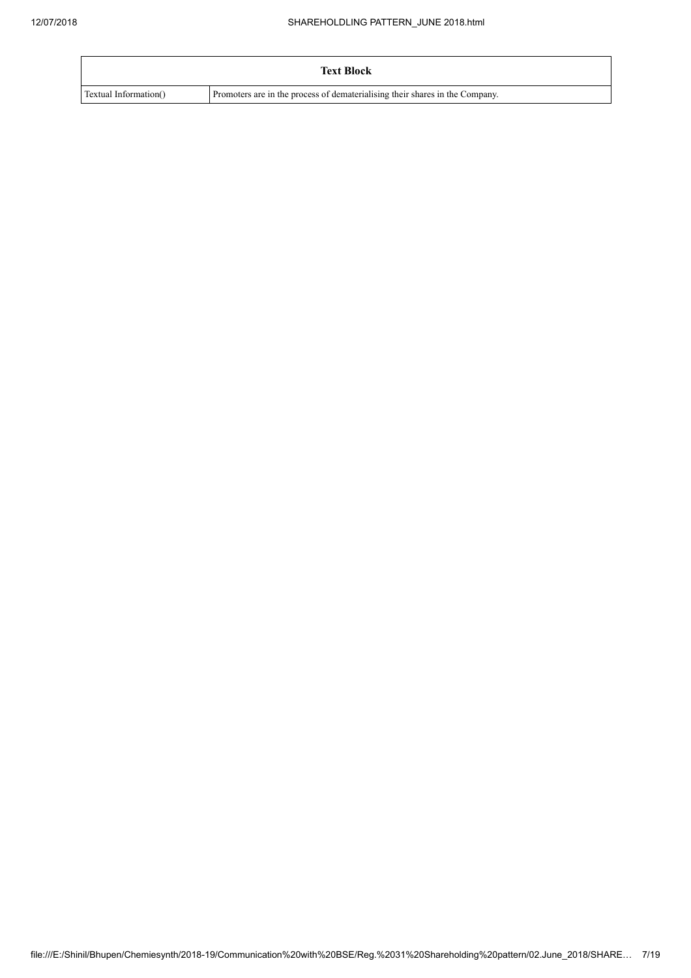|                       | <b>Text Block</b>                                                            |
|-----------------------|------------------------------------------------------------------------------|
| Textual Information() | Promoters are in the process of dematerialising their shares in the Company. |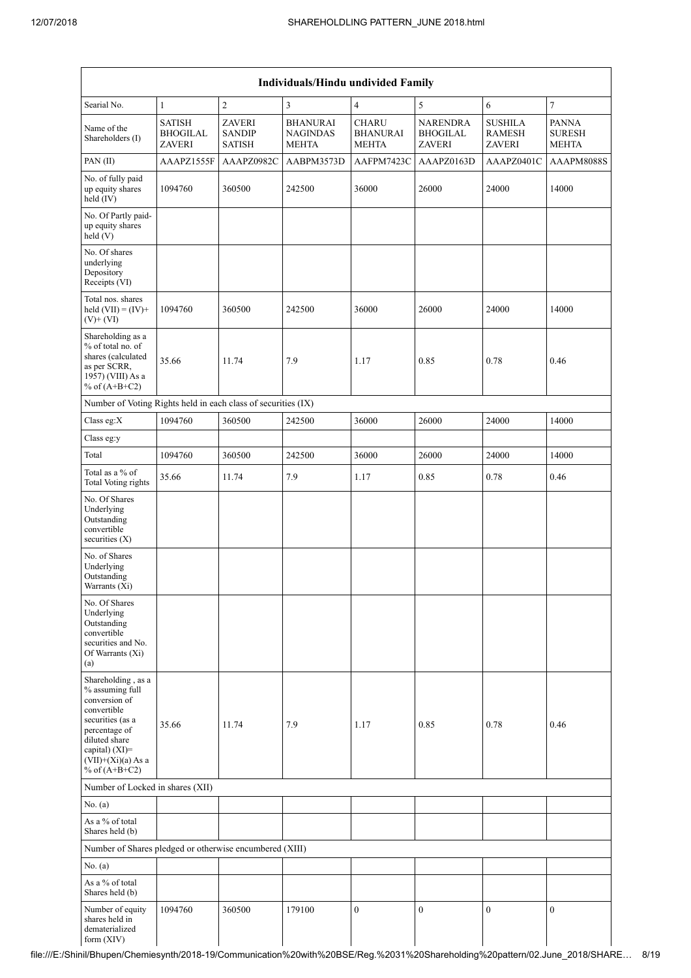| Individuals/Hindu undivided Family                                                                                                                                                       |                                                   |                                                 |                                                    |                                                 |                                                     |                                                  |                                               |  |  |  |
|------------------------------------------------------------------------------------------------------------------------------------------------------------------------------------------|---------------------------------------------------|-------------------------------------------------|----------------------------------------------------|-------------------------------------------------|-----------------------------------------------------|--------------------------------------------------|-----------------------------------------------|--|--|--|
| Searial No.                                                                                                                                                                              | $\mathbf{1}$                                      | $\sqrt{2}$                                      | $\overline{\mathbf{3}}$                            | $\overline{4}$                                  | 5                                                   | 6                                                | $\boldsymbol{7}$                              |  |  |  |
| Name of the<br>Shareholders (I)                                                                                                                                                          | <b>SATISH</b><br><b>BHOGILAL</b><br><b>ZAVERI</b> | <b>ZAVERI</b><br><b>SANDIP</b><br><b>SATISH</b> | <b>BHANURAI</b><br><b>NAGINDAS</b><br><b>MEHTA</b> | <b>CHARU</b><br><b>BHANURAI</b><br><b>MEHTA</b> | <b>NARENDRA</b><br><b>BHOGILAL</b><br><b>ZAVERI</b> | <b>SUSHILA</b><br><b>RAMESH</b><br><b>ZAVERI</b> | <b>PANNA</b><br><b>SURESH</b><br><b>MEHTA</b> |  |  |  |
| PAN(II)                                                                                                                                                                                  | AAAPZ1555F                                        | AAAPZ0982C                                      | AABPM3573D                                         | AAFPM7423C                                      | AAAPZ0163D                                          | AAAPZ0401C                                       | AAAPM8088S                                    |  |  |  |
| No. of fully paid<br>up equity shares<br>held (IV)                                                                                                                                       | 1094760                                           | 360500                                          | 242500                                             | 36000                                           | 26000                                               | 24000                                            | 14000                                         |  |  |  |
| No. Of Partly paid-<br>up equity shares<br>held (V)                                                                                                                                      |                                                   |                                                 |                                                    |                                                 |                                                     |                                                  |                                               |  |  |  |
| No. Of shares<br>underlying<br>Depository<br>Receipts (VI)                                                                                                                               |                                                   |                                                 |                                                    |                                                 |                                                     |                                                  |                                               |  |  |  |
| Total nos. shares<br>held $(VII) = (IV) +$<br>$(V)$ + $(VI)$                                                                                                                             | 1094760                                           | 360500                                          | 242500                                             | 36000                                           | 26000                                               | 24000                                            | 14000                                         |  |  |  |
| Shareholding as a<br>% of total no. of<br>shares (calculated<br>as per SCRR,<br>1957) (VIII) As a<br>% of $(A+B+C2)$                                                                     | 35.66                                             | 11.74                                           | 7.9                                                | 1.17                                            | 0.85                                                | 0.78                                             | 0.46                                          |  |  |  |
| Number of Voting Rights held in each class of securities (IX)                                                                                                                            |                                                   |                                                 |                                                    |                                                 |                                                     |                                                  |                                               |  |  |  |
| Class eg:X                                                                                                                                                                               | 1094760                                           | 360500                                          | 242500                                             | 36000                                           | 26000                                               | 24000                                            | 14000                                         |  |  |  |
| Class eg:y                                                                                                                                                                               |                                                   |                                                 |                                                    |                                                 |                                                     |                                                  |                                               |  |  |  |
| Total                                                                                                                                                                                    | 1094760                                           | 360500                                          | 242500                                             | 36000                                           | 26000                                               | 24000                                            | 14000                                         |  |  |  |
| Total as a % of<br><b>Total Voting rights</b>                                                                                                                                            | 35.66                                             | 11.74                                           | 7.9                                                | 1.17                                            | 0.85                                                | 0.78                                             | 0.46                                          |  |  |  |
| No. Of Shares<br>Underlying<br>Outstanding<br>convertible<br>securities (X)                                                                                                              |                                                   |                                                 |                                                    |                                                 |                                                     |                                                  |                                               |  |  |  |
| No. of Shares<br>Underlying<br>Outstanding<br>Warrants (Xi)                                                                                                                              |                                                   |                                                 |                                                    |                                                 |                                                     |                                                  |                                               |  |  |  |
| No. Of Shares<br>Underlying<br>Outstanding<br>convertible<br>securities and No.<br>Of Warrants (Xi)<br>(a)                                                                               |                                                   |                                                 |                                                    |                                                 |                                                     |                                                  |                                               |  |  |  |
| Shareholding, as a<br>% assuming full<br>conversion of<br>convertible<br>securities (as a<br>percentage of<br>diluted share<br>capital) (XI)=<br>$(VII)+(Xi)(a)$ As a<br>% of $(A+B+C2)$ | 35.66                                             | 11.74                                           | 7.9                                                | 1.17                                            | 0.85                                                | 0.78                                             | 0.46                                          |  |  |  |
| Number of Locked in shares (XII)                                                                                                                                                         |                                                   |                                                 |                                                    |                                                 |                                                     |                                                  |                                               |  |  |  |
| No. (a)                                                                                                                                                                                  |                                                   |                                                 |                                                    |                                                 |                                                     |                                                  |                                               |  |  |  |
| As a % of total<br>Shares held (b)                                                                                                                                                       |                                                   |                                                 |                                                    |                                                 |                                                     |                                                  |                                               |  |  |  |
| Number of Shares pledged or otherwise encumbered (XIII)                                                                                                                                  |                                                   |                                                 |                                                    |                                                 |                                                     |                                                  |                                               |  |  |  |
| No. $(a)$                                                                                                                                                                                |                                                   |                                                 |                                                    |                                                 |                                                     |                                                  |                                               |  |  |  |
| As a % of total<br>Shares held (b)                                                                                                                                                       |                                                   |                                                 |                                                    |                                                 |                                                     |                                                  |                                               |  |  |  |
| Number of equity<br>shares held in<br>dematerialized<br>form $(XIV)$                                                                                                                     | 1094760                                           | 360500                                          | 179100                                             | $\boldsymbol{0}$                                | $\boldsymbol{0}$                                    | $\boldsymbol{0}$                                 | $\boldsymbol{0}$                              |  |  |  |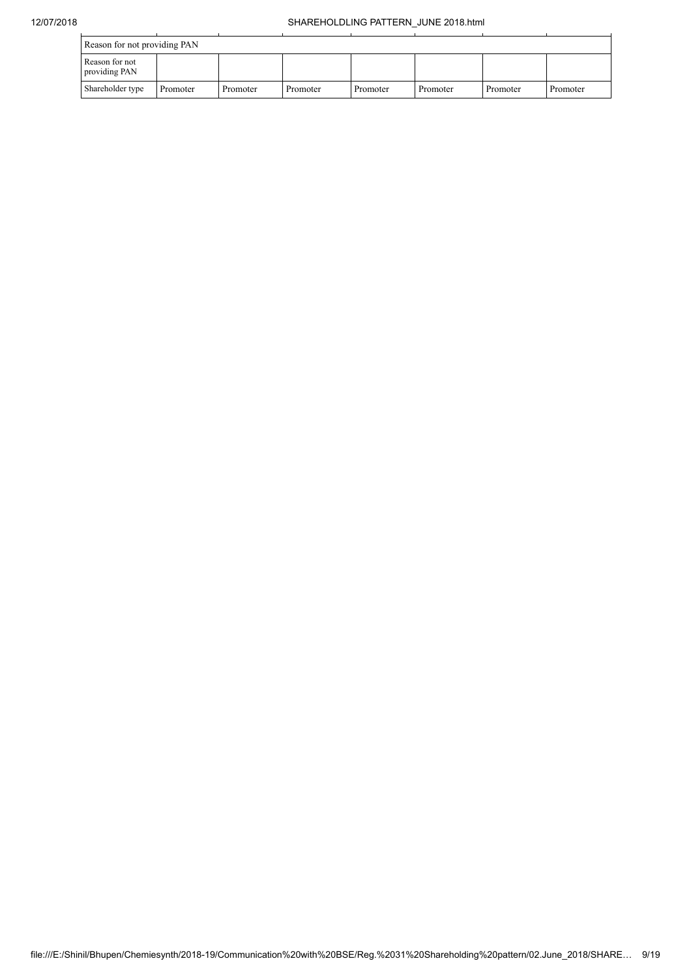| Reason for not providing PAN    |          |          |          |          |          |          |          |
|---------------------------------|----------|----------|----------|----------|----------|----------|----------|
| Reason for not<br>providing PAN |          |          |          |          |          |          |          |
| Shareholder type                | Promoter | Promoter | Promoter | Promoter | Promoter | Promoter | Promoter |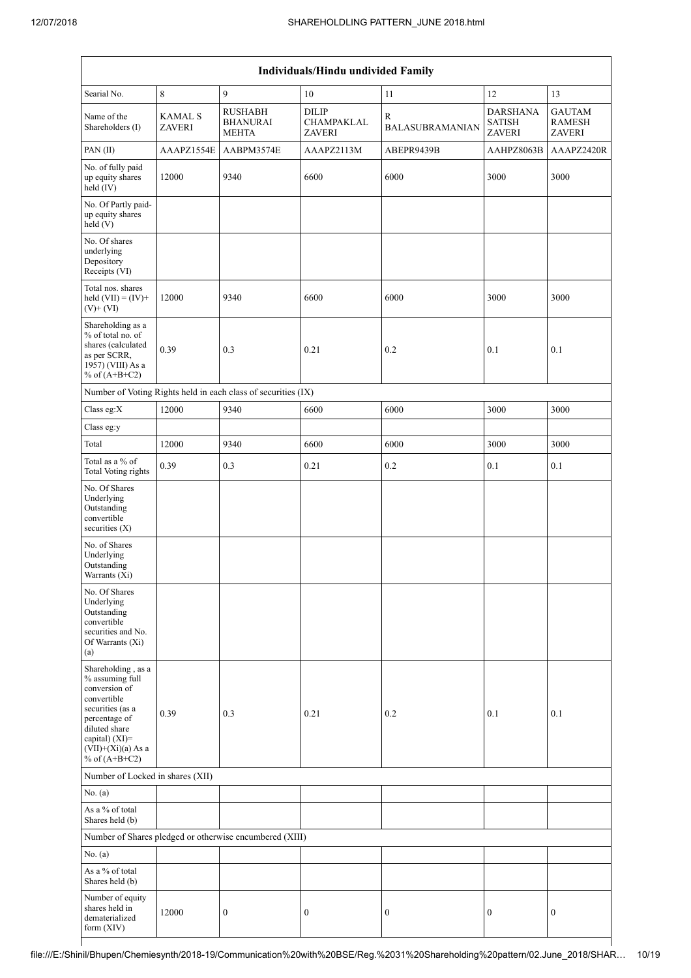| Individuals/Hindu undivided Family                                                                                                                                                          |                                 |                                                               |                                             |                             |                                                   |                                                 |  |  |  |  |
|---------------------------------------------------------------------------------------------------------------------------------------------------------------------------------------------|---------------------------------|---------------------------------------------------------------|---------------------------------------------|-----------------------------|---------------------------------------------------|-------------------------------------------------|--|--|--|--|
| Searial No.                                                                                                                                                                                 | 8                               | 9                                                             | 10                                          | 11                          | 12                                                | 13                                              |  |  |  |  |
| Name of the<br>Shareholders (I)                                                                                                                                                             | <b>KAMAL S</b><br><b>ZAVERI</b> | <b>RUSHABH</b><br><b>BHANURAI</b><br><b>MEHTA</b>             | <b>DILIP</b><br>CHAMPAKLAL<br><b>ZAVERI</b> | R<br><b>BALASUBRAMANIAN</b> | <b>DARSHANA</b><br><b>SATISH</b><br><b>ZAVERI</b> | <b>GAUTAM</b><br><b>RAMESH</b><br><b>ZAVERI</b> |  |  |  |  |
| PAN(II)                                                                                                                                                                                     | AAAPZ1554E                      | AABPM3574E                                                    | AAAPZ2113M                                  | ABEPR9439B                  | AAHPZ8063B                                        | AAAPZ2420R                                      |  |  |  |  |
| No. of fully paid<br>up equity shares<br>held (IV)                                                                                                                                          | 12000                           | 9340                                                          | 6600                                        | 6000                        | 3000                                              | 3000                                            |  |  |  |  |
| No. Of Partly paid-<br>up equity shares<br>held (V)                                                                                                                                         |                                 |                                                               |                                             |                             |                                                   |                                                 |  |  |  |  |
| No. Of shares<br>underlying<br>Depository<br>Receipts (VI)                                                                                                                                  |                                 |                                                               |                                             |                             |                                                   |                                                 |  |  |  |  |
| Total nos. shares<br>held $(VII) = (IV) +$<br>$(V)+(VI)$                                                                                                                                    | 12000                           | 9340                                                          | 6600                                        | 6000                        | 3000                                              | 3000                                            |  |  |  |  |
| Shareholding as a<br>% of total no. of<br>shares (calculated<br>as per SCRR,<br>1957) (VIII) As a<br>% of $(A+B+C2)$                                                                        | 0.39                            | 0.3                                                           | 0.21                                        | 0.2                         | 0.1                                               | 0.1                                             |  |  |  |  |
|                                                                                                                                                                                             |                                 | Number of Voting Rights held in each class of securities (IX) |                                             |                             |                                                   |                                                 |  |  |  |  |
| Class eg:X                                                                                                                                                                                  | 12000                           | 9340                                                          | 6600                                        | 6000                        | 3000                                              | 3000                                            |  |  |  |  |
| Class eg:y                                                                                                                                                                                  |                                 |                                                               |                                             |                             |                                                   |                                                 |  |  |  |  |
| Total                                                                                                                                                                                       | 12000                           | 9340                                                          | 6600                                        | 6000                        | 3000                                              | 3000                                            |  |  |  |  |
| Total as a % of<br><b>Total Voting rights</b>                                                                                                                                               | 0.39                            | 0.3                                                           | 0.21                                        | 0.2                         | 0.1                                               | 0.1                                             |  |  |  |  |
| No. Of Shares<br>Underlying<br>Outstanding<br>convertible<br>securities $(X)$                                                                                                               |                                 |                                                               |                                             |                             |                                                   |                                                 |  |  |  |  |
| No. of Shares<br>Underlying<br>Outstanding<br>Warrants (Xi)                                                                                                                                 |                                 |                                                               |                                             |                             |                                                   |                                                 |  |  |  |  |
| No. Of Shares<br>Underlying<br>Outstanding<br>convertible<br>securities and No.<br>Of Warrants (Xi)<br>(a)                                                                                  |                                 |                                                               |                                             |                             |                                                   |                                                 |  |  |  |  |
| Shareholding, as a<br>% assuming full<br>conversion of<br>convertible<br>securities (as a<br>percentage of<br>diluted share<br>capital) $(XI)$ =<br>$(VII)+(Xi)(a)$ As a<br>% of $(A+B+C2)$ | 0.39                            | 0.3                                                           | 0.21                                        | 0.2                         | 0.1                                               | 0.1                                             |  |  |  |  |
| Number of Locked in shares (XII)                                                                                                                                                            |                                 |                                                               |                                             |                             |                                                   |                                                 |  |  |  |  |
| No. (a)                                                                                                                                                                                     |                                 |                                                               |                                             |                             |                                                   |                                                 |  |  |  |  |
| As a % of total<br>Shares held (b)                                                                                                                                                          |                                 |                                                               |                                             |                             |                                                   |                                                 |  |  |  |  |
|                                                                                                                                                                                             |                                 | Number of Shares pledged or otherwise encumbered (XIII)       |                                             |                             |                                                   |                                                 |  |  |  |  |
| No. (a)                                                                                                                                                                                     |                                 |                                                               |                                             |                             |                                                   |                                                 |  |  |  |  |
| As a % of total<br>Shares held (b)                                                                                                                                                          |                                 |                                                               |                                             |                             |                                                   |                                                 |  |  |  |  |
| Number of equity<br>shares held in<br>dematerialized<br>form (XIV)                                                                                                                          | 12000                           | $\boldsymbol{0}$                                              | $\boldsymbol{0}$                            | $\boldsymbol{0}$            | $\boldsymbol{0}$                                  | $\boldsymbol{0}$                                |  |  |  |  |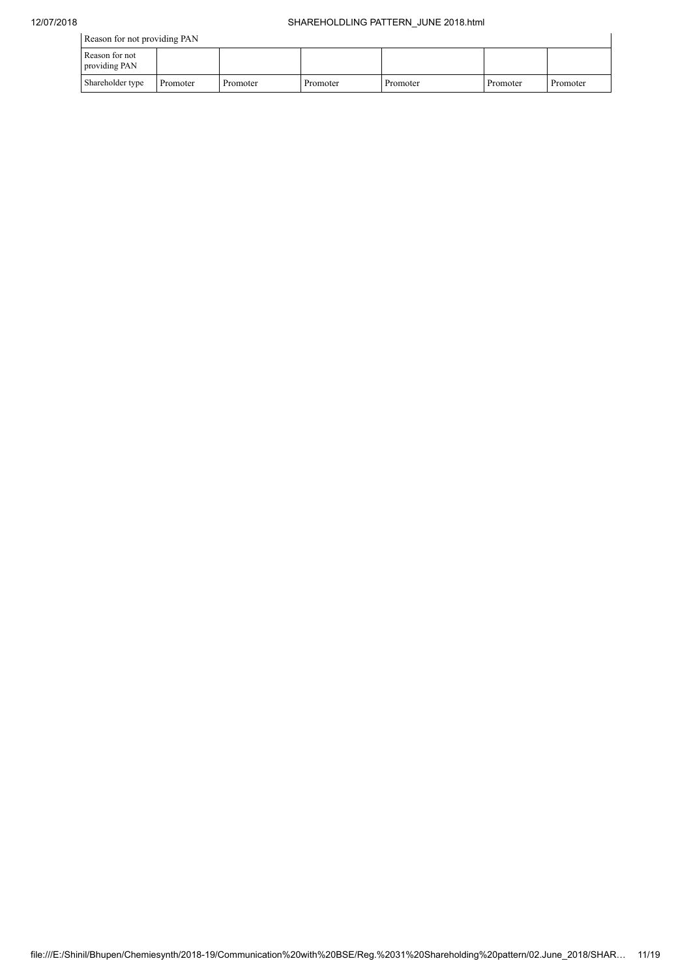| Reason for not providing PAN    |          |          |          |          |          |          |  |
|---------------------------------|----------|----------|----------|----------|----------|----------|--|
| Reason for not<br>providing PAN |          |          |          |          |          |          |  |
| Shareholder type                | Promoter | Promoter | Promoter | Promoter | Promoter | Promoter |  |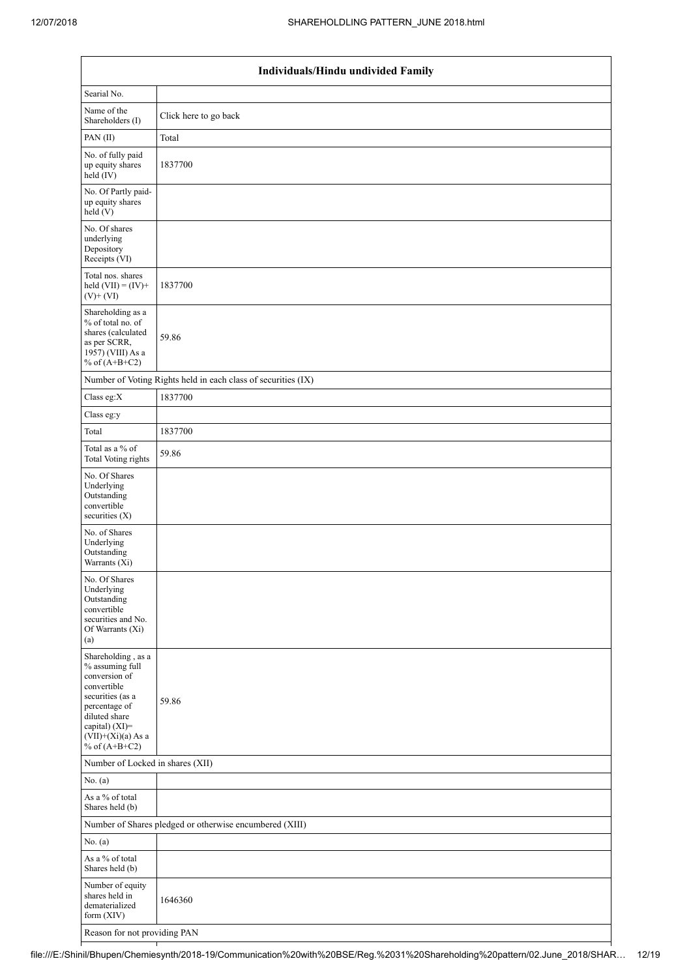|                                                                                                                                                                                          | Individuals/Hindu undivided Family                            |  |  |  |  |  |  |  |  |
|------------------------------------------------------------------------------------------------------------------------------------------------------------------------------------------|---------------------------------------------------------------|--|--|--|--|--|--|--|--|
| Searial No.                                                                                                                                                                              |                                                               |  |  |  |  |  |  |  |  |
| Name of the<br>Shareholders (I)                                                                                                                                                          | Click here to go back                                         |  |  |  |  |  |  |  |  |
| PAN(II)                                                                                                                                                                                  | Total                                                         |  |  |  |  |  |  |  |  |
| No. of fully paid<br>up equity shares<br>$\text{held}(\text{IV})$                                                                                                                        | 1837700                                                       |  |  |  |  |  |  |  |  |
| No. Of Partly paid-<br>up equity shares<br>held (V)                                                                                                                                      |                                                               |  |  |  |  |  |  |  |  |
| No. Of shares<br>underlying<br>Depository<br>Receipts (VI)                                                                                                                               |                                                               |  |  |  |  |  |  |  |  |
| Total nos. shares<br>held $(VII) = (IV) +$<br>$(V)$ + $(VI)$                                                                                                                             | 1837700                                                       |  |  |  |  |  |  |  |  |
| Shareholding as a<br>% of total no. of<br>shares (calculated<br>as per SCRR,<br>1957) (VIII) As a<br>% of $(A+B+C2)$                                                                     | 59.86                                                         |  |  |  |  |  |  |  |  |
|                                                                                                                                                                                          | Number of Voting Rights held in each class of securities (IX) |  |  |  |  |  |  |  |  |
| Class eg:X                                                                                                                                                                               | 1837700                                                       |  |  |  |  |  |  |  |  |
| Class eg:y                                                                                                                                                                               |                                                               |  |  |  |  |  |  |  |  |
| Total                                                                                                                                                                                    | 1837700                                                       |  |  |  |  |  |  |  |  |
| Total as a % of<br><b>Total Voting rights</b>                                                                                                                                            | 59.86                                                         |  |  |  |  |  |  |  |  |
| No. Of Shares<br>Underlying<br>Outstanding<br>convertible<br>securities (X)                                                                                                              |                                                               |  |  |  |  |  |  |  |  |
| No. of Shares<br>Underlying<br>Outstanding<br>Warrants (Xi)                                                                                                                              |                                                               |  |  |  |  |  |  |  |  |
| No. Of Shares<br>Underlying<br>Outstanding<br>convertible<br>securities and No.<br>Of Warrants (Xi)<br>(a)                                                                               |                                                               |  |  |  |  |  |  |  |  |
| Shareholding, as a<br>% assuming full<br>conversion of<br>convertible<br>securities (as a<br>percentage of<br>diluted share<br>capital) (XI)=<br>$(VII)+(Xi)(a)$ As a<br>% of $(A+B+C2)$ | 59.86                                                         |  |  |  |  |  |  |  |  |
| Number of Locked in shares (XII)                                                                                                                                                         |                                                               |  |  |  |  |  |  |  |  |
| No. $(a)$                                                                                                                                                                                |                                                               |  |  |  |  |  |  |  |  |
| As a % of total<br>Shares held (b)                                                                                                                                                       |                                                               |  |  |  |  |  |  |  |  |
|                                                                                                                                                                                          | Number of Shares pledged or otherwise encumbered (XIII)       |  |  |  |  |  |  |  |  |
| No. (a)                                                                                                                                                                                  |                                                               |  |  |  |  |  |  |  |  |
| As a % of total<br>Shares held (b)                                                                                                                                                       |                                                               |  |  |  |  |  |  |  |  |
| Number of equity<br>shares held in<br>dematerialized<br>form $(XIV)$                                                                                                                     | 1646360                                                       |  |  |  |  |  |  |  |  |
| Reason for not providing PAN                                                                                                                                                             |                                                               |  |  |  |  |  |  |  |  |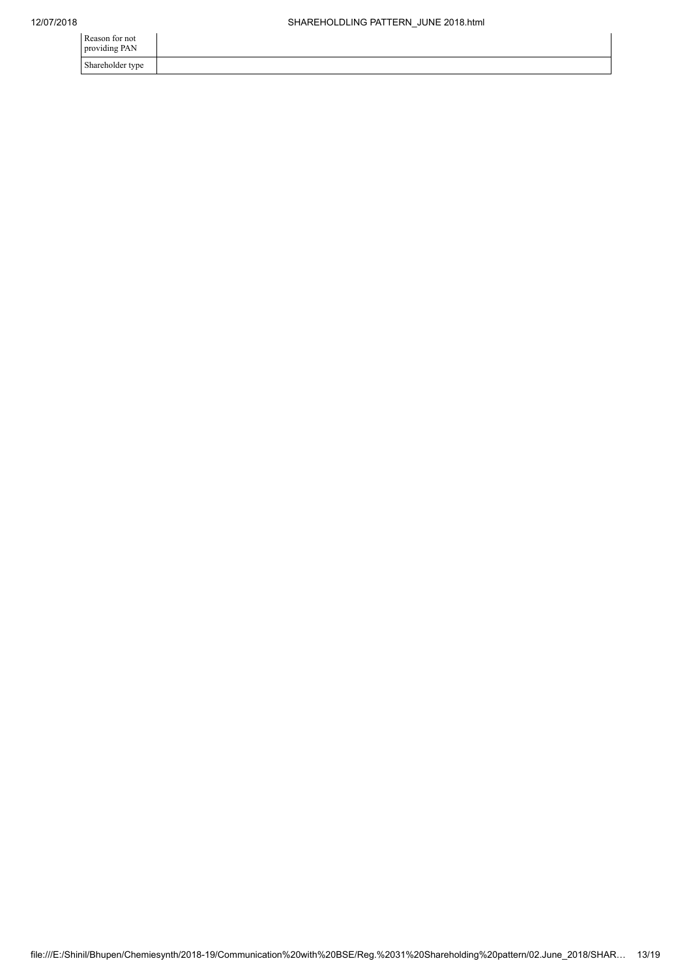| Reason for not<br>providing PAN |  |
|---------------------------------|--|
| Shareholder type                |  |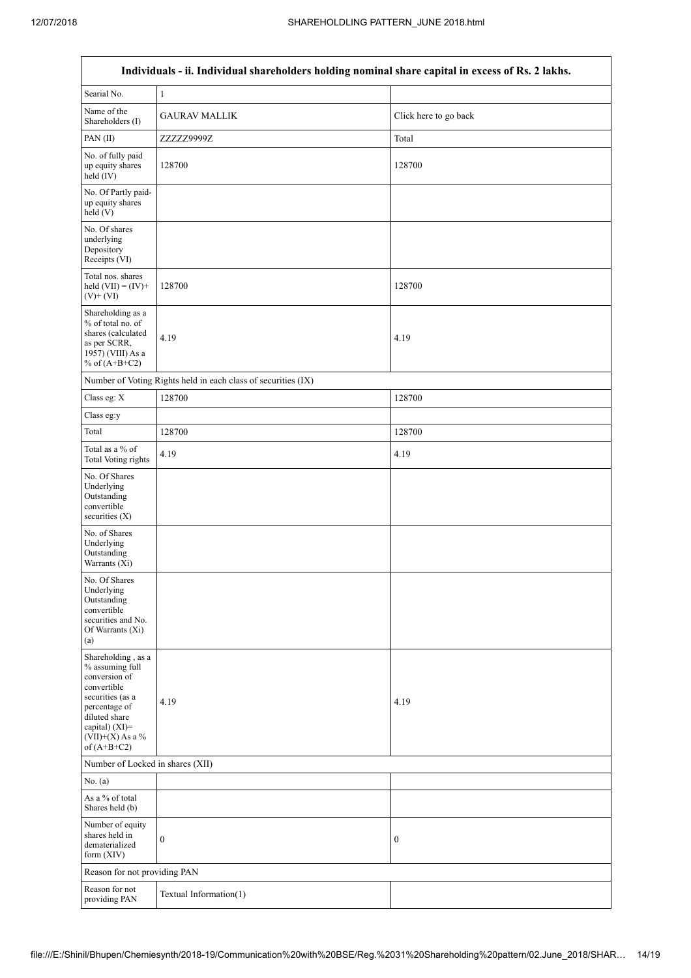$\overline{\phantom{a}}$ 

| Individuals - ii. Individual shareholders holding nominal share capital in excess of Rs. 2 lakhs.                                                                                    |                                                               |                       |  |  |  |
|--------------------------------------------------------------------------------------------------------------------------------------------------------------------------------------|---------------------------------------------------------------|-----------------------|--|--|--|
| Searial No.                                                                                                                                                                          | $\mathbf{1}$                                                  |                       |  |  |  |
| Name of the<br>Shareholders (I)                                                                                                                                                      | <b>GAURAV MALLIK</b>                                          | Click here to go back |  |  |  |
| PAN(II)                                                                                                                                                                              | ZZZZZ9999Z<br>Total                                           |                       |  |  |  |
| No. of fully paid<br>up equity shares<br>held (IV)                                                                                                                                   | 128700                                                        | 128700                |  |  |  |
| No. Of Partly paid-<br>up equity shares<br>held(V)                                                                                                                                   |                                                               |                       |  |  |  |
| No. Of shares<br>underlying<br>Depository<br>Receipts (VI)                                                                                                                           |                                                               |                       |  |  |  |
| Total nos. shares<br>held $(VII) = (IV) +$<br>$(V)+(VI)$                                                                                                                             | 128700                                                        | 128700                |  |  |  |
| Shareholding as a<br>% of total no. of<br>shares (calculated<br>as per SCRR,<br>1957) (VIII) As a<br>% of $(A+B+C2)$                                                                 | 4.19                                                          | 4.19                  |  |  |  |
|                                                                                                                                                                                      | Number of Voting Rights held in each class of securities (IX) |                       |  |  |  |
| Class eg: X                                                                                                                                                                          | 128700                                                        | 128700                |  |  |  |
| Class eg:y                                                                                                                                                                           |                                                               |                       |  |  |  |
| Total                                                                                                                                                                                | 128700                                                        | 128700                |  |  |  |
| Total as a % of<br><b>Total Voting rights</b>                                                                                                                                        | 4.19                                                          | 4.19                  |  |  |  |
| No. Of Shares<br>Underlying<br>Outstanding<br>convertible<br>securities $(X)$                                                                                                        |                                                               |                       |  |  |  |
| No. of Shares<br>Underlying<br>Outstanding<br>Warrants (Xi)                                                                                                                          |                                                               |                       |  |  |  |
| No. Of Shares<br>Underlying<br>Outstanding<br>convertible<br>securities and No.<br>Of Warrants (Xi)<br>(a)                                                                           |                                                               |                       |  |  |  |
| Shareholding, as a<br>% assuming full<br>conversion of<br>convertible<br>securities (as a<br>percentage of<br>diluted share<br>capital) (XI)=<br>$(VII)+(X)$ As a %<br>of $(A+B+C2)$ | 4.19                                                          | 4.19                  |  |  |  |
| Number of Locked in shares (XII)                                                                                                                                                     |                                                               |                       |  |  |  |
| No. (a)                                                                                                                                                                              |                                                               |                       |  |  |  |
| As a % of total<br>Shares held (b)                                                                                                                                                   |                                                               |                       |  |  |  |
| Number of equity<br>shares held in<br>dematerialized<br>form $(XIV)$                                                                                                                 | $\boldsymbol{0}$                                              | $\boldsymbol{0}$      |  |  |  |
| Reason for not providing PAN                                                                                                                                                         |                                                               |                       |  |  |  |
| Reason for not<br>providing PAN                                                                                                                                                      | Textual Information(1)                                        |                       |  |  |  |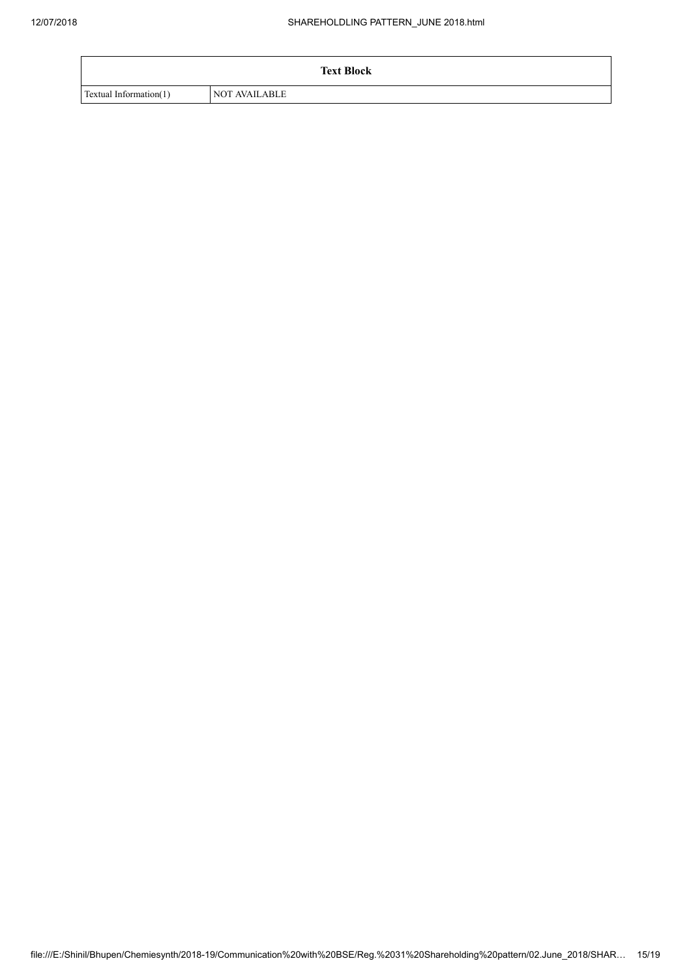|                        | <b>Text Block</b>    |
|------------------------|----------------------|
| Textual Information(1) | <b>NOT AVAILABLE</b> |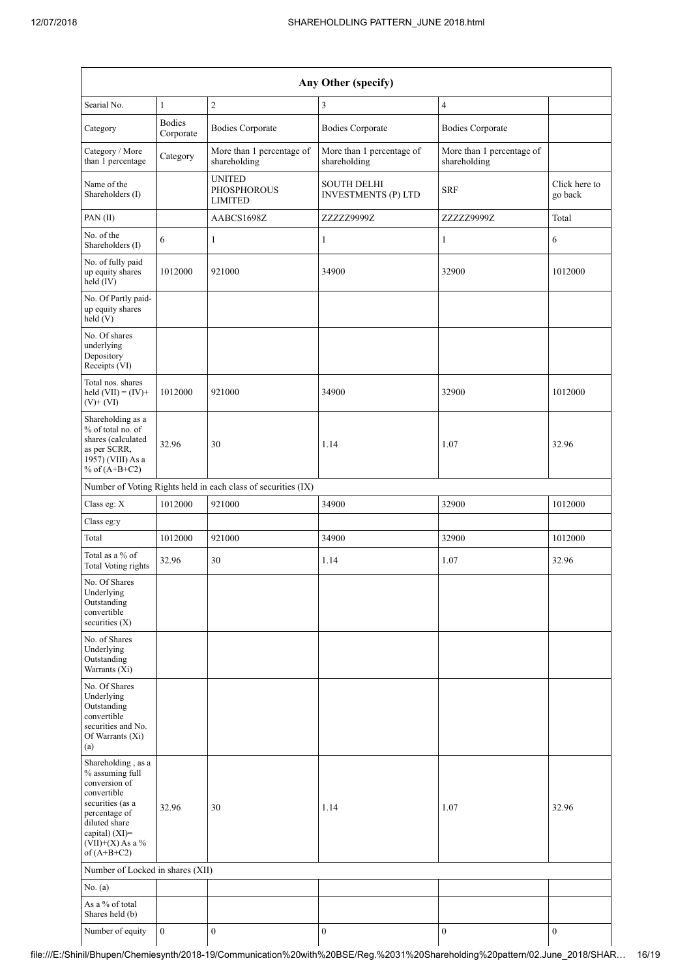|                                                                                                                                                                                         | Any Other (specify)        |                                                               |                                                  |                                           |                          |
|-----------------------------------------------------------------------------------------------------------------------------------------------------------------------------------------|----------------------------|---------------------------------------------------------------|--------------------------------------------------|-------------------------------------------|--------------------------|
| Searial No.                                                                                                                                                                             | $\mathbf{1}$               | $\mathbf{2}$                                                  | $\mathfrak{Z}$                                   | $\overline{4}$                            |                          |
| Category                                                                                                                                                                                | <b>Bodies</b><br>Corporate | <b>Bodies Corporate</b>                                       | <b>Bodies Corporate</b>                          | <b>Bodies Corporate</b>                   |                          |
| Category / More<br>than 1 percentage                                                                                                                                                    | Category                   | More than 1 percentage of<br>shareholding                     | More than 1 percentage of<br>shareholding        | More than 1 percentage of<br>shareholding |                          |
| Name of the<br>Shareholders (I)                                                                                                                                                         |                            | <b>UNITED</b><br><b>PHOSPHOROUS</b><br><b>LIMITED</b>         | <b>SOUTH DELHI</b><br><b>INVESTMENTS (P) LTD</b> | <b>SRF</b>                                | Click here to<br>go back |
| PAN $(II)$                                                                                                                                                                              |                            | AABCS1698Z                                                    | ZZZZZ9999Z                                       | ZZZZZ9999Z                                | Total                    |
| No. of the<br>Shareholders (I)                                                                                                                                                          | 6                          | 1                                                             | $\mathbf{1}$                                     | 1                                         | 6                        |
| No. of fully paid<br>up equity shares<br>$\text{held}(\text{IV})$                                                                                                                       | 1012000                    | 921000                                                        | 34900                                            | 32900                                     | 1012000                  |
| No. Of Partly paid-<br>up equity shares<br>held(V)                                                                                                                                      |                            |                                                               |                                                  |                                           |                          |
| No. Of shares<br>underlying<br>Depository<br>Receipts (VI)                                                                                                                              |                            |                                                               |                                                  |                                           |                          |
| Total nos. shares<br>held $(VII) = (IV) +$<br>$(V)+(VI)$                                                                                                                                | 1012000                    | 921000                                                        | 34900                                            | 32900                                     | 1012000                  |
| Shareholding as a<br>% of total no. of<br>shares (calculated<br>as per SCRR,<br>1957) (VIII) As a<br>% of $(A+B+C2)$                                                                    | 32.96                      | 30                                                            | 1.14                                             | 1.07                                      | 32.96                    |
|                                                                                                                                                                                         |                            | Number of Voting Rights held in each class of securities (IX) |                                                  |                                           |                          |
| Class eg: X                                                                                                                                                                             | 1012000                    | 921000                                                        | 34900                                            | 32900                                     | 1012000                  |
| Class eg:y                                                                                                                                                                              |                            |                                                               |                                                  |                                           |                          |
| Total                                                                                                                                                                                   | 1012000                    | 921000                                                        | 34900                                            | 32900                                     | 1012000                  |
| Total as a % of<br><b>Total Voting rights</b>                                                                                                                                           | 32.96                      | 30                                                            | 1.14                                             | 1.07                                      | 32.96                    |
| No. Of Shares<br>Underlying<br>Outstanding<br>convertible<br>securities $(X)$                                                                                                           |                            |                                                               |                                                  |                                           |                          |
| No. of Shares<br>Underlying<br>Outstanding<br>Warrants (Xi)                                                                                                                             |                            |                                                               |                                                  |                                           |                          |
| No. Of Shares<br>Underlying<br>Outstanding<br>convertible<br>securities and No.<br>Of Warrants (Xi)<br>(a)                                                                              |                            |                                                               |                                                  |                                           |                          |
| Shareholding, as a<br>% assuming full<br>conversion of<br>convertible<br>securities (as a<br>percentage of<br>diluted share<br>capital) $(XI)$ =<br>$(VII)+(X)$ As a %<br>of $(A+B+C2)$ | 32.96                      | 30                                                            | 1.14                                             | 1.07                                      | 32.96                    |
| Number of Locked in shares (XII)                                                                                                                                                        |                            |                                                               |                                                  |                                           |                          |
| No. (a)                                                                                                                                                                                 |                            |                                                               |                                                  |                                           |                          |
| As a % of total<br>Shares held (b)                                                                                                                                                      |                            |                                                               |                                                  |                                           |                          |
| Number of equity                                                                                                                                                                        | $\boldsymbol{0}$           | $\boldsymbol{0}$                                              | $\boldsymbol{0}$                                 | $\boldsymbol{0}$                          | $\boldsymbol{0}$         |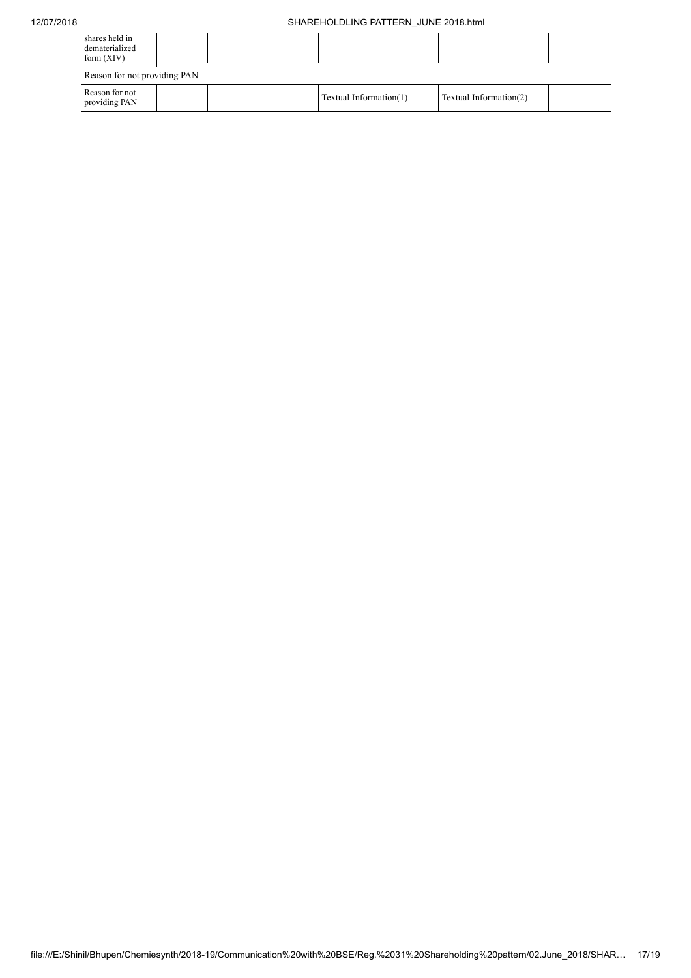| shares held in<br>dematerialized<br>form $(XIV)$ |  |  |                        |                        |  |
|--------------------------------------------------|--|--|------------------------|------------------------|--|
| Reason for not providing PAN                     |  |  |                        |                        |  |
| Reason for not<br>providing PAN                  |  |  | Textual Information(1) | Textual Information(2) |  |